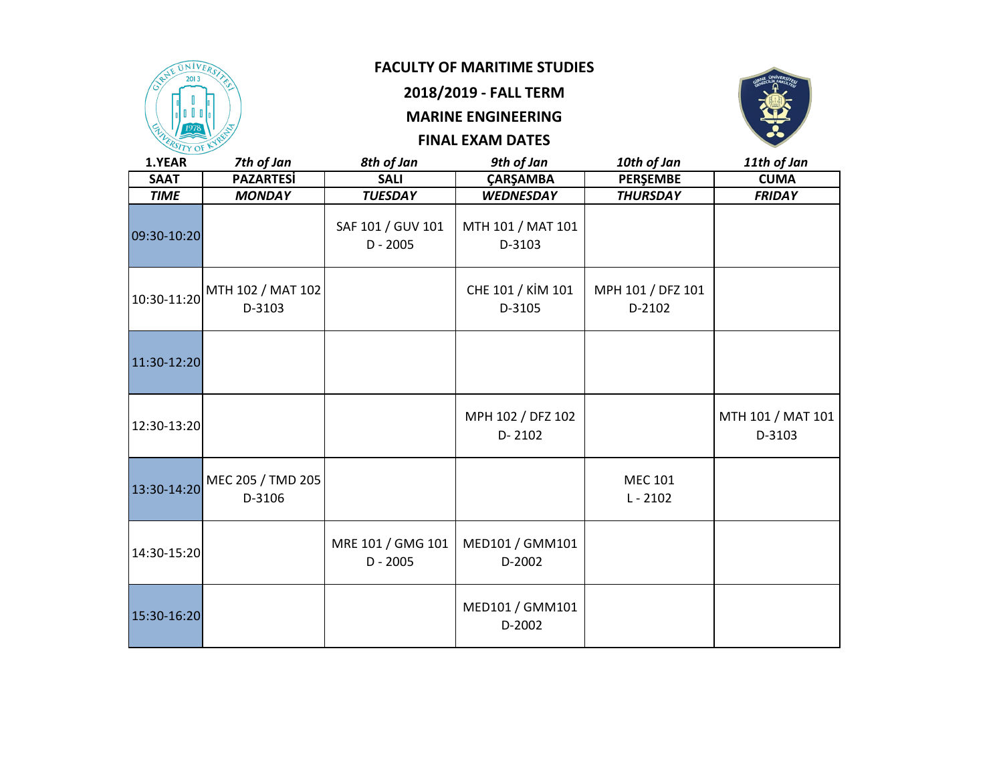

**2018/2019 - FALL TERM**

# **MARINE ENGINEERING**



| 1.YEAR      | 7th of Jan                                                                            | 8th of Jan                      | 9th of Jan                      | 10th of Jan                  | 11th of Jan                 |
|-------------|---------------------------------------------------------------------------------------|---------------------------------|---------------------------------|------------------------------|-----------------------------|
| <b>SAAT</b> | <b>PAZARTESİ</b>                                                                      | <b>SALI</b>                     | <b>ÇARŞAMBA</b>                 | PERŞEMBE                     | <b>CUMA</b>                 |
| <b>TIME</b> | <b>MONDAY</b>                                                                         | <b>TUESDAY</b>                  | <b>WEDNESDAY</b>                | <b>THURSDAY</b>              | <b>FRIDAY</b>               |
| 09:30-10:20 |                                                                                       | SAF 101 / GUV 101<br>$D - 2005$ | MTH 101 / MAT 101<br>D-3103     |                              |                             |
|             | $\rm{M_{10:30\text{-}11:20}$ MTH 102 / MAT 102 $\rm{M_{10:30\text{-}11:20}$<br>D-3103 |                                 | CHE 101 / KİM 101<br>D-3105     | MPH 101 / DFZ 101<br>D-2102  |                             |
| 11:30-12:20 |                                                                                       |                                 |                                 |                              |                             |
| 12:30-13:20 |                                                                                       |                                 | MPH 102 / DFZ 102<br>$D - 2102$ |                              | MTH 101 / MAT 101<br>D-3103 |
| 13:30-14:20 | MEC 205 / TMD 205<br>D-3106                                                           |                                 |                                 | <b>MEC 101</b><br>$L - 2102$ |                             |
| 14:30-15:20 |                                                                                       | MRE 101 / GMG 101<br>$D - 2005$ | MED101 / GMM101<br>D-2002       |                              |                             |
| 15:30-16:20 |                                                                                       |                                 | MED101 / GMM101<br>D-2002       |                              |                             |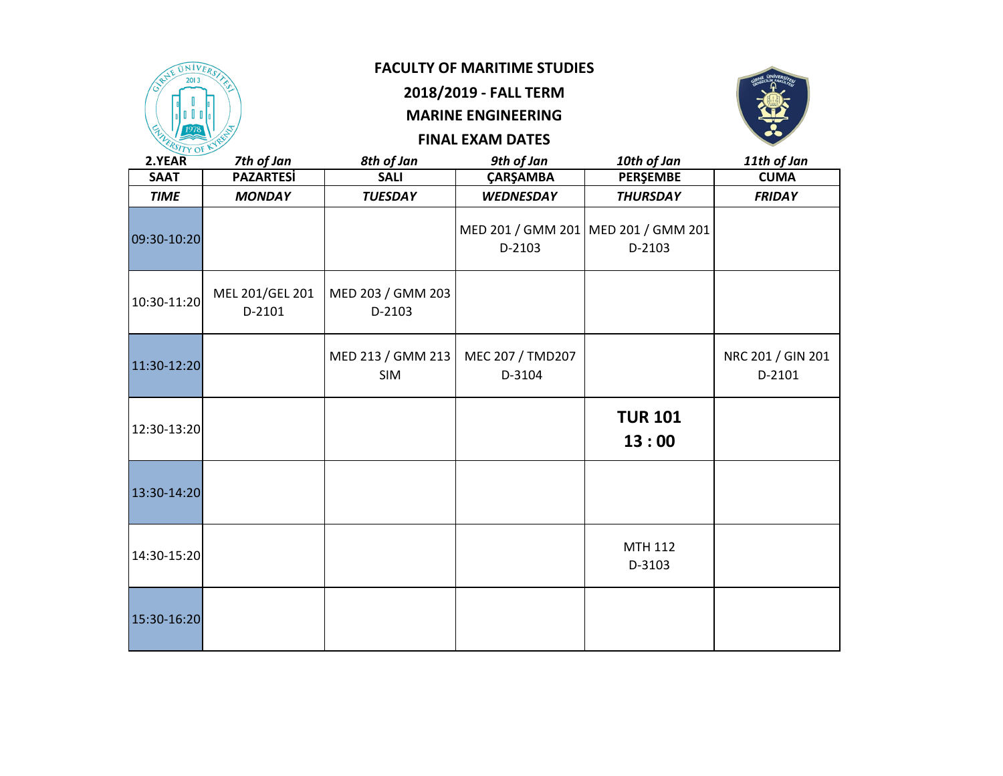

# **2018/2019 - FALL TERM**

# **MARINE ENGINEERING**



| 2.YEAR      | 7th of Jan                | 8th of Jan                  | 9th of Jan                 | 10th of Jan                                     | 11th of Jan                 |
|-------------|---------------------------|-----------------------------|----------------------------|-------------------------------------------------|-----------------------------|
| <b>SAAT</b> | <b>PAZARTESi</b>          | <b>SALI</b>                 | <b>ÇARŞAMBA</b>            | <b>PERŞEMBE</b>                                 | <b>CUMA</b>                 |
| <b>TIME</b> | <b>MONDAY</b>             | <b>TUESDAY</b>              | <b>WEDNESDAY</b>           | <b>THURSDAY</b>                                 | <b>FRIDAY</b>               |
| 09:30-10:20 |                           |                             | D-2103                     | MED 201 / GMM 201   MED 201 / GMM 201<br>D-2103 |                             |
| 10:30-11:20 | MEL 201/GEL 201<br>D-2101 | MED 203 / GMM 203<br>D-2103 |                            |                                                 |                             |
| 11:30-12:20 |                           | MED 213 / GMM 213<br>SIM    | MEC 207 / TMD207<br>D-3104 |                                                 | NRC 201 / GIN 201<br>D-2101 |
| 12:30-13:20 |                           |                             |                            | <b>TUR 101</b><br>13:00                         |                             |
| 13:30-14:20 |                           |                             |                            |                                                 |                             |
| 14:30-15:20 |                           |                             |                            | <b>MTH 112</b><br>D-3103                        |                             |
| 15:30-16:20 |                           |                             |                            |                                                 |                             |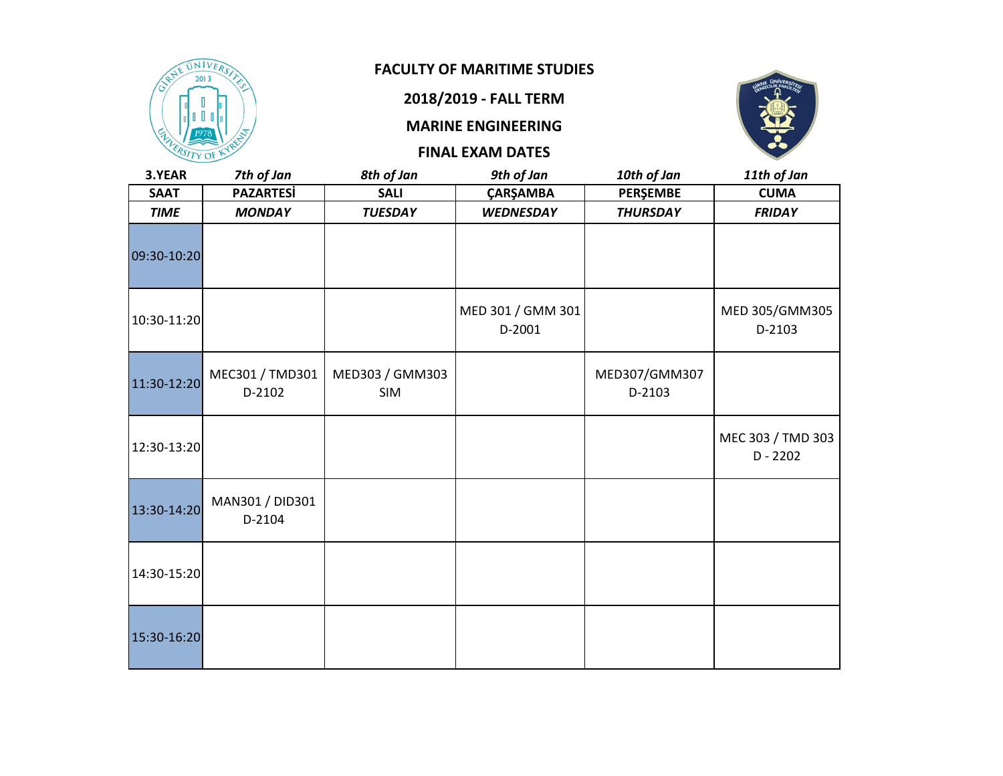

#### **2018/2019 - FALL TERM**

**MARINE ENGINEERING**



| 3.YEAR      | 7th of Jan                | 8th of Jan             | 9th of Jan                  | 10th of Jan             | 11th of Jan                     |
|-------------|---------------------------|------------------------|-----------------------------|-------------------------|---------------------------------|
| <b>SAAT</b> | <b>PAZARTESİ</b>          | <b>SALI</b>            | ÇARŞAMBA                    | <b>PERŞEMBE</b>         | <b>CUMA</b>                     |
| <b>TIME</b> | <b>MONDAY</b>             | <b>TUESDAY</b>         | <b>WEDNESDAY</b>            | <b>THURSDAY</b>         | <b>FRIDAY</b>                   |
| 09:30-10:20 |                           |                        |                             |                         |                                 |
| 10:30-11:20 |                           |                        | MED 301 / GMM 301<br>D-2001 |                         | MED 305/GMM305<br>D-2103        |
| 11:30-12:20 | MEC301 / TMD301<br>D-2102 | MED303 / GMM303<br>SIM |                             | MED307/GMM307<br>D-2103 |                                 |
| 12:30-13:20 |                           |                        |                             |                         | MEC 303 / TMD 303<br>$D - 2202$ |
| 13:30-14:20 | MAN301 / DID301<br>D-2104 |                        |                             |                         |                                 |
| 14:30-15:20 |                           |                        |                             |                         |                                 |
| 15:30-16:20 |                           |                        |                             |                         |                                 |